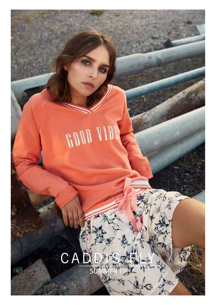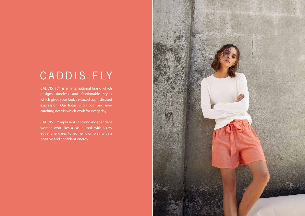# CADDIS FLY

CADDIS FLY is an international brand which designs timeless and fashionable styles which gives your look a relaxed sophisticated expression. Our focus is on cool and eyecatching details which work for every day.

CADDIS FLY represents a strong independent woman who likes a casual look with a raw edge. She dares to go her own way with a positive and confident energy.

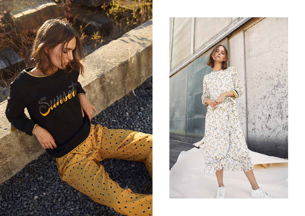

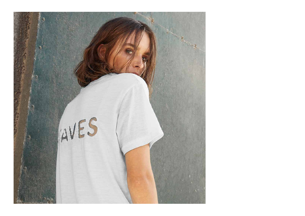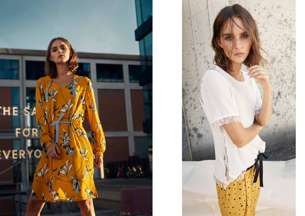

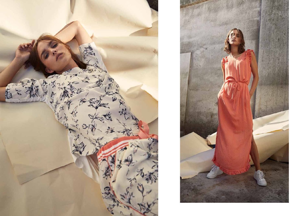

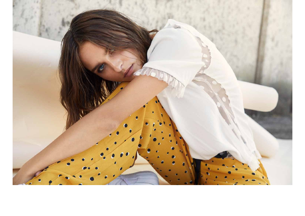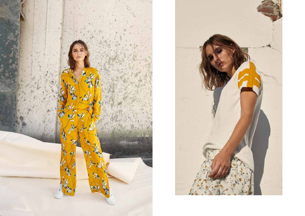